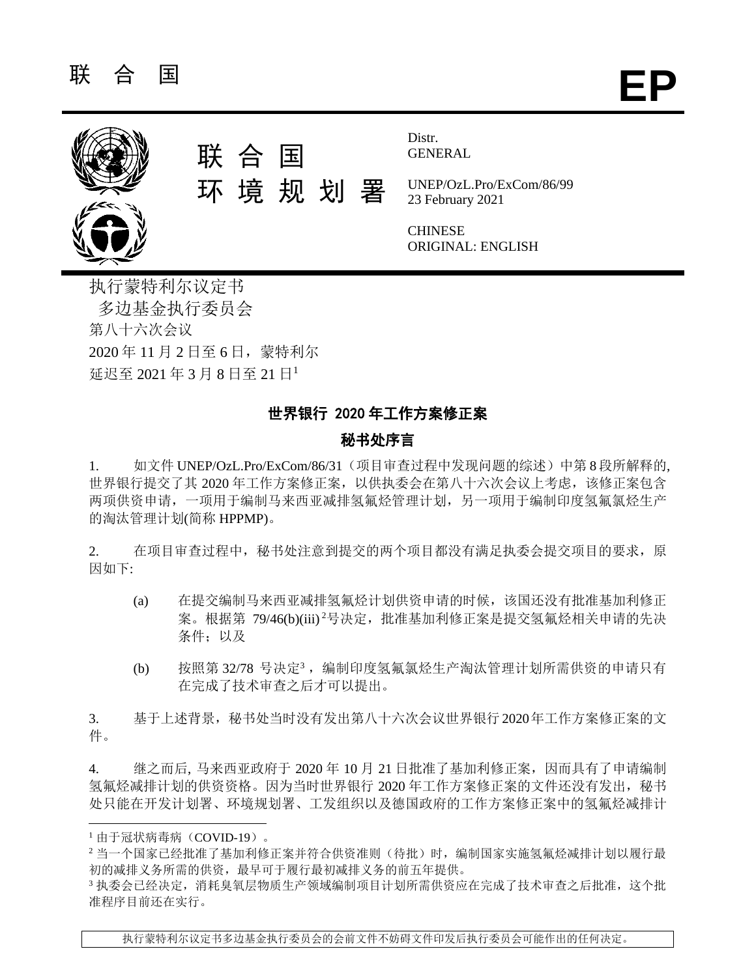

执行蒙特利尔议定书 多边基金执行委员会 第八十六次会议 2020 年 11 月 2 日至 6 日,蒙特利尔 延迟至 2021 年 3 月 8 日至 21 日<sup>1</sup>

# 世界银行 2020 年工作方案修正案

## 秘书处序言

1. 如文件 UNEP/OzL.Pro/ExCom/86/31(项目审查过程中发现问题的综述)中第 8段所解释的, 世界银行提交了其 2020 年工作方案修正案,以供执委会在第八十六次会议上考虑,该修正案包含 两项供资申请,一项用于编制马来西亚减排氢氟烃管理计划,另一项用于编制印度氢氟氯烃生产 的淘汰管理计划(简称 HPPMP)。

2. 在项目审查过程中,秘书处注意到提交的两个项目都没有满足执委会提交项目的要求,原 因如下:

- (a) 在提交编制马来西亚减排氢氟烃计划供资申请的时候,该国还没有批准基加利修正 案。根据第 79/46(b)(iii) <sup>2</sup>号决定, 批准基加利修正案是提交氢氟烃相关申请的先决 条件: 以及
- (b) 按照第 32/78 号决定3, 编制印度氢氟氯烃生产淘汰管理计划所需供资的申请只有 在完成了技术审查之后才可以提出。

3. 基于上述背景,秘书处当时没有发出第八十六次会议世界银行2020年工作方案修正案的文 件。

4. 继之而后, 马来西亚政府于 2020 年 10 月 21 日批准了基加利修正案,因而具有了申请编制 氢氟烃减排计划的供资资格。因为当时世界银行 2020 年工作方案修正案的文件还没有发出, 秘书 处只能在开发计划署、环境规划署、工发组织以及德国政府的工作方案修正案中的氢氟烃减排计

<sup>1</sup> 由于冠状病毒病(COVID-19)。

<sup>2</sup> 当一个国家已经批准了基加利修正案并符合供资准则(待批)时,编制国家实施氢氟烃减排计划以履行最 初的减排义务所需的供资,最早可于履行最初减排义务的前五年提供。

<sup>3</sup> 执委会已经决定,消耗臭氧层物质生产领域编制项目计划所需供资应在完成了技术审查之后批准,这个批 准程序目前还在实行。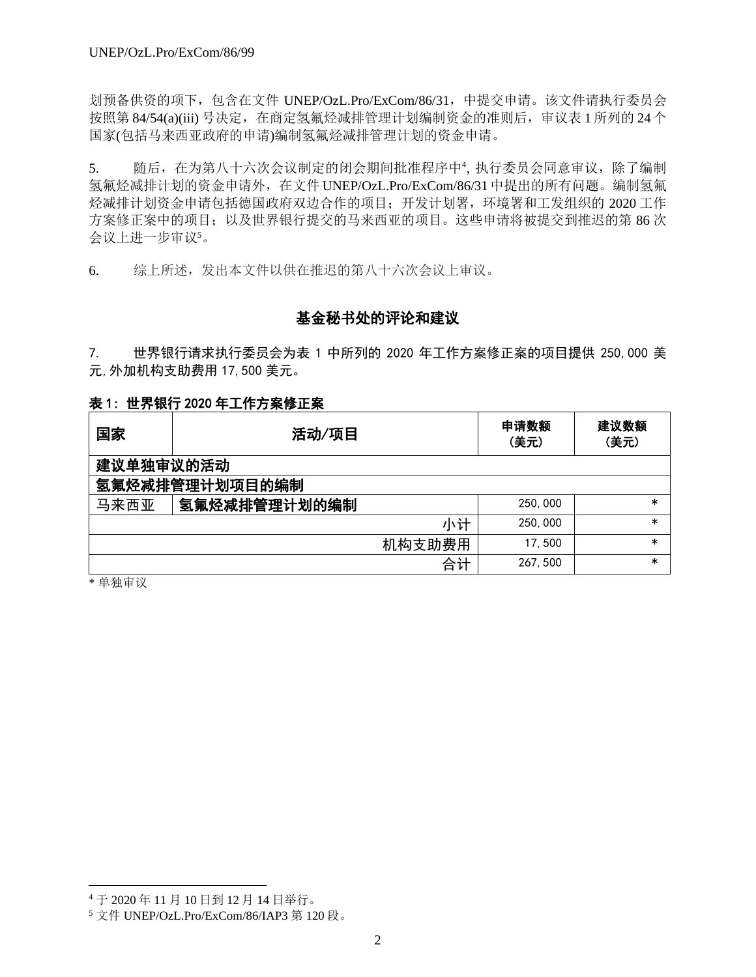划预备供资的项下,包含在文件 UNEP/OzL.Pro/ExCom/86/31,中提交申请。该文件请执行委员会 按照第 84/54(a)(iii) 号决定, 在商定氢氟烃减排管理计划编制资金的准则后, 审议表 1 所列的 24 个 国家(包括马来西亚政府的申请)编制氢氟烃减排管理计划的资金申请。

5. 随后, 在为第八十六次会议制定的闭会期间批准程序中4, 执行委员会同意审议, 除了编制 氢氟烃减排计划的资金申请外,在文件 UNEP/OzL.Pro/ExCom/86/31中提出的所有问题。编制氢氟 烃减排计划资金申请包括德国政府双边合作的项目;开发计划署,环境署和工发组织的 2020 工作 方案修正案中的项目;以及世界银行提交的马来西亚的项目。这些申请将被提交到推迟的第 86 次 会议上进一步审议<sup>5</sup>。

6. 综上所述,发出本文件以供在推迟的第八十六次会议上审议。

# 基金秘书处的评论和建议

7. 世界银行请求执行委员会为表 1 中所列的 2020 年工作方案修正案的项目提供 250,000 美 元,外加机构支助费用 17,500 美元。

## 表 1: 世界银行 2020 年工作方案修正案

| 国家             | 活动/项目        | 申请数额<br>(美元) | 建议数额<br>(美元) |  |  |  |
|----------------|--------------|--------------|--------------|--|--|--|
|                | 建议单独审议的活动    |              |              |  |  |  |
| 氢氟烃减排管理计划项目的编制 |              |              |              |  |  |  |
| 马来西亚           | 氢氟烃减排管理计划的编制 | 250,000      | $\ast$       |  |  |  |
|                | 小计           | 250,000      | $\ast$       |  |  |  |
|                | 机构支助费用       | 17,500       | $\ast$       |  |  |  |
|                | 合计           | 267, 500     | $\ast$       |  |  |  |

\* 单独审议

<sup>4</sup> 于 2020 年 11 月 10 日到 12 月 14 日举行。

<sup>5</sup> 文件 UNEP/OzL.Pro/ExCom/86/IAP3 第 120 段。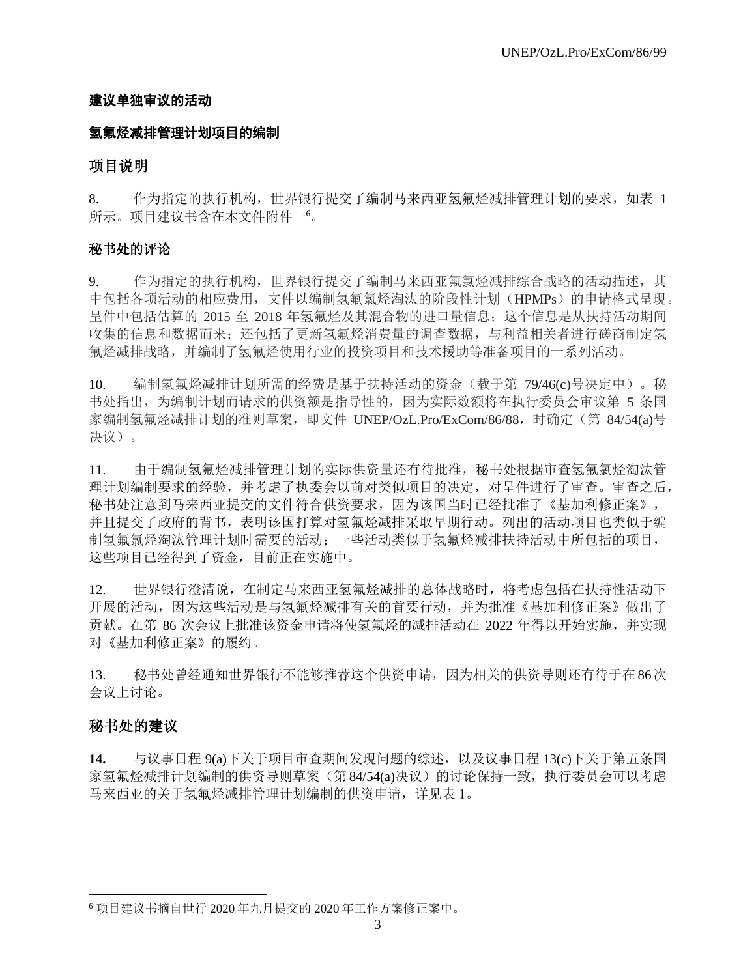## 建议单独审议的活动

## 氢氟烃减排管理计划项目的编制

## 项目说明

8. 作为指定的执行机构,世界银行提交了编制马来西亚氢氟烃减排管理计划的要求,如表 1 所示。项目建议书含在本文件附件一<sup>6</sup>。

## 秘书处的评论

9. 作为指定的执行机构,世界银行提交了编制马来西亚氟氯烃减排综合战略的活动描述,其 中包括各项活动的相应费用,文件以编制氢氟氯烃淘汰的阶段性计划(HPMPs)的申请格式呈现。 呈件中包括估算的 2015 至 2018 年氢氟烃及其混合物的进口量信息;这个信息是从扶持活动期间 收集的信息和数据而来;还包括了更新氢氟烃消费量的调查数据,与利益相关者进行磋商制定氢 氟烃减排战略,并编制了氢氟烃使用行业的投资项目和技术援助等准备项目的一系列活动。

10. 编制氢氟烃减排计划所需的经费是基于扶持活动的资金(载于第 79/46(c)号决定中)。秘 书处指出,为编制计划而请求的供资额是指导性的,因为实际数额将在执行委员会审议第 5 条国 家编制氢氟烃减排计划的准则草案,即文件 UNEP/OzL.Pro/ExCom/86/88,时确定(第 84/54(a)号 决议)。

11. 由于编制氢氟烃减排管理计划的实际供资量还有待批准,秘书处根据审查氢氟氯烃淘汰管 理计划编制要求的经验,并考虑了执委会以前对类似项目的决定,对呈件进行了审查。审查之后, 秘书处注意到马来西亚提交的文件符合供资要求,因为该国当时已经批准了《基加利修正案》, 并且提交了政府的背书,表明该国打算对氢氟烃减排采取早期行动。列出的活动项目也类似于编 制氢氟氯烃淘汰管理计划时需要的活动;一些活动类似于氢氟烃减排扶持活动中所包括的项目, 这些项目已经得到了资金,目前正在实施中。

12. 世界银行澄清说,在制定马来西亚氢氟烃减排的总体战略时,将考虑包括在扶持性活动下 开展的活动,因为这些活动是与氢氟烃减排有关的首要行动,并为批准《基加利修正案》做出了 贡献。在第 86 次会议上批准该资金申请将使氢氟烃的减排活动在 2022 年得以开始实施,并实现 对《基加利修正案》的履约。

13. 秘书处曾经通知世界银行不能够推荐这个供资申请,因为相关的供资导则还有待于在86次 会议上讨论。

## 秘书处的建议

**14.** 与议事日程 9(a)下关于项目审查期间发现问题的综述,以及议事日程 13(c)下关于第五条国 家氢氟烃减排计划编制的供资导则草案(第84/54(a)决议)的讨论保持一致,执行委员会可以考虑 马来西亚的关于氢氟烃减排管理计划编制的供资申请,详见表 1。

<sup>6</sup> 项目建议书摘自世行 2020 年九月提交的 2020 年工作方案修正案中。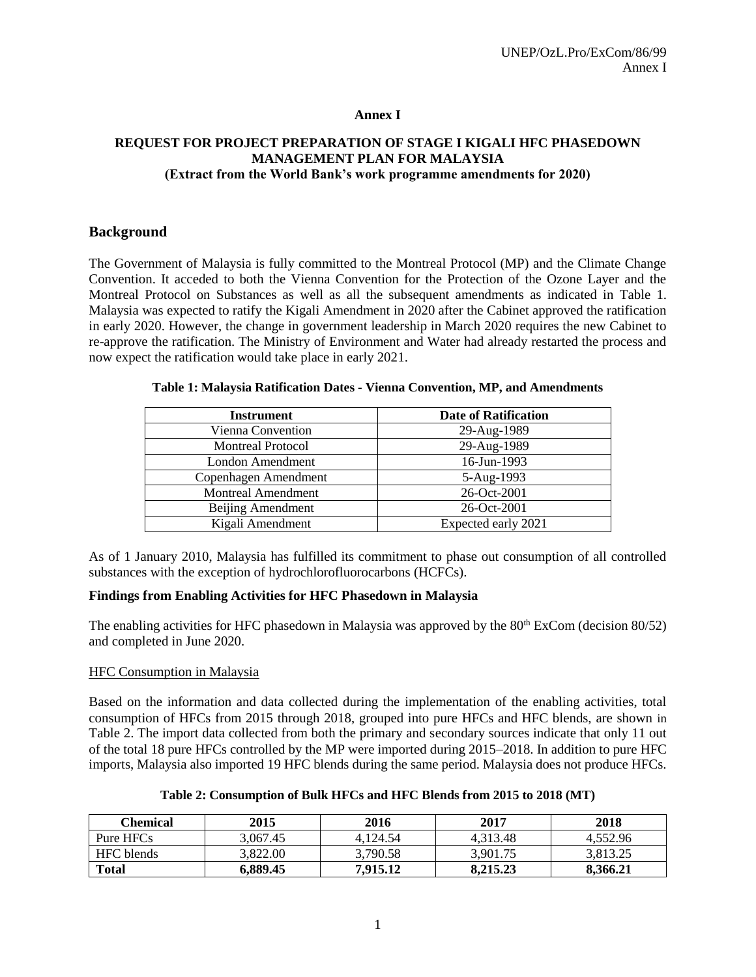## **Annex I**

## **REQUEST FOR PROJECT PREPARATION OF STAGE I KIGALI HFC PHASEDOWN MANAGEMENT PLAN FOR MALAYSIA (Extract from the World Bank's work programme amendments for 2020)**

## **Background**

The Government of Malaysia is fully committed to the Montreal Protocol (MP) and the Climate Change Convention. It acceded to both the Vienna Convention for the Protection of the Ozone Layer and the Montreal Protocol on Substances as well as all the subsequent amendments as indicated in [Table 1.](#page-3-0) Malaysia was expected to ratify the Kigali Amendment in 2020 after the Cabinet approved the ratification in early 2020. However, the change in government leadership in March 2020 requires the new Cabinet to re-approve the ratification. The Ministry of Environment and Water had already restarted the process and now expect the ratification would take place in early 2021.

| <b>Instrument</b>         | <b>Date of Ratification</b> |
|---------------------------|-----------------------------|
| Vienna Convention         | 29-Aug-1989                 |
| <b>Montreal Protocol</b>  | 29-Aug-1989                 |
| London Amendment          | 16-Jun-1993                 |
| Copenhagen Amendment      | 5-Aug-1993                  |
| <b>Montreal Amendment</b> | 26-Oct-2001                 |
| Beijing Amendment         | 26-Oct-2001                 |
| Kigali Amendment          | Expected early 2021         |

#### <span id="page-3-0"></span>**Table 1: Malaysia Ratification Dates - Vienna Convention, MP, and Amendments**

As of 1 January 2010, Malaysia has fulfilled its commitment to phase out consumption of all controlled substances with the exception of hydrochlorofluorocarbons (HCFCs).

### **Findings from Enabling Activities for HFC Phasedown in Malaysia**

The enabling activities for HFC phasedown in Malaysia was approved by the  $80^{th}$  ExCom (decision  $80/52$ ) and completed in June 2020.

### HFC Consumption in Malaysia

Based on the information and data collected during the implementation of the enabling activities, total consumption of HFCs from 2015 through 2018, grouped into pure HFCs and HFC blends, are shown in [Table 2.](#page-3-1) The import data collected from both the primary and secondary sources indicate that only 11 out of the total 18 pure HFCs controlled by the MP were imported during 2015–2018. In addition to pure HFC imports, Malaysia also imported 19 HFC blends during the same period. Malaysia does not produce HFCs.

<span id="page-3-1"></span>

| Chemical          | 2015     | 2016     | 2017     | 2018     |
|-------------------|----------|----------|----------|----------|
| Pure HFCs         | 3,067.45 | 4.124.54 | 4.313.48 | 4.552.96 |
| <b>HFC</b> blends | 3.822.00 | 3,790.58 | 3.901.75 | 3.813.25 |
| <b>Total</b>      | 6.889.45 | 7.915.12 | 8.215.23 | 8.366.21 |

#### **Table 2: Consumption of Bulk HFCs and HFC Blends from 2015 to 2018 (MT)**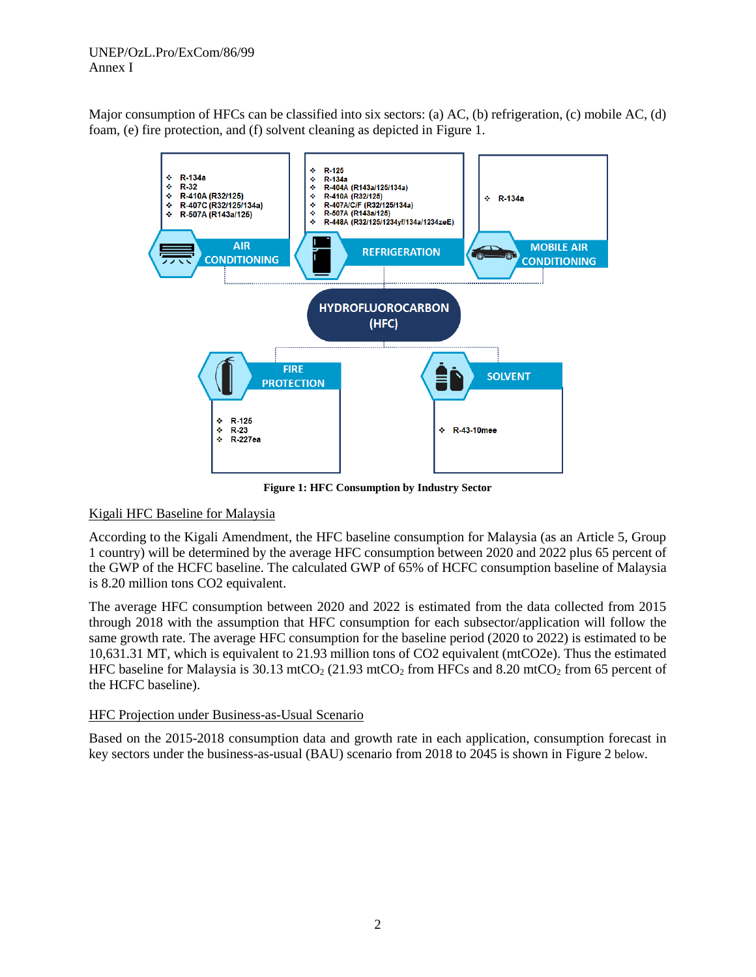### UNEP/OzL.Pro/ExCom/86/99 Annex I

Major consumption of HFCs can be classified into six sectors: (a) AC, (b) refrigeration, (c) mobile AC, (d) foam, (e) fire protection, and (f) solvent cleaning as depicted in [Figure 1.](#page-4-0)



**Figure 1: HFC Consumption by Industry Sector**

## <span id="page-4-0"></span>Kigali HFC Baseline for Malaysia

According to the Kigali Amendment, the HFC baseline consumption for Malaysia (as an Article 5, Group 1 country) will be determined by the average HFC consumption between 2020 and 2022 plus 65 percent of the GWP of the HCFC baseline. The calculated GWP of 65% of HCFC consumption baseline of Malaysia is 8.20 million tons CO2 equivalent.

The average HFC consumption between 2020 and 2022 is estimated from the data collected from 2015 through 2018 with the assumption that HFC consumption for each subsector/application will follow the same growth rate. The average HFC consumption for the baseline period (2020 to 2022) is estimated to be 10,631.31 MT, which is equivalent to 21.93 million tons of CO2 equivalent (mtCO2e). Thus the estimated HFC baseline for Malaysia is 30.13 mtCO<sub>2</sub> (21.93 mtCO<sub>2</sub> from HFCs and 8.20 mtCO<sub>2</sub> from 65 percent of the HCFC baseline).

### HFC Projection under Business-as-Usual Scenario

Based on the 2015-2018 consumption data and growth rate in each application, consumption forecast in key sectors under the business-as-usual (BAU) scenario from 2018 to 2045 is shown in [Figure 2](#page-5-0) below.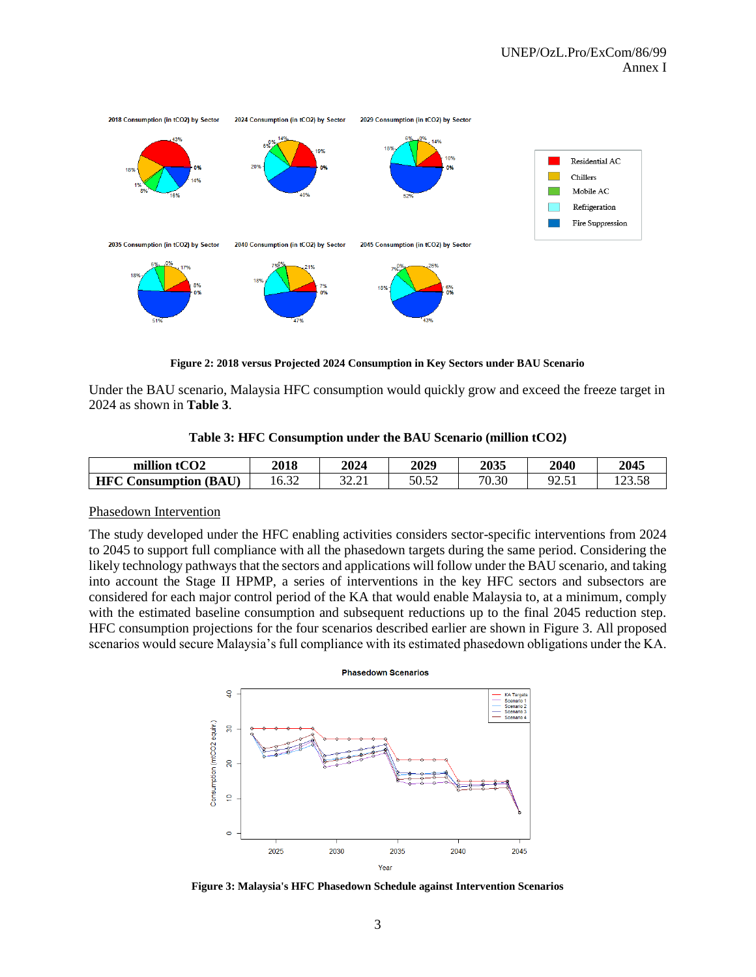

**Figure 2: 2018 versus Projected 2024 Consumption in Key Sectors under BAU Scenario**

<span id="page-5-0"></span>Under the BAU scenario, Malaysia HFC consumption would quickly grow and exceed the freeze target in 2024 as shown in **[Table 3](#page-5-1)**.

|  |  | Table 3: HFC Consumption under the BAU Scenario (million tCO2) |  |  |  |
|--|--|----------------------------------------------------------------|--|--|--|
|--|--|----------------------------------------------------------------|--|--|--|

<span id="page-5-1"></span>

| $\sqrt{2}$<br>million<br>JZ.             | 2018               | 2024                       | 2029  | 2035  | 2040 | 2045   |
|------------------------------------------|--------------------|----------------------------|-------|-------|------|--------|
| <b>HFC</b><br>'BAU<br><b>Consumption</b> | $\sim$<br>. v. j 4 | nn.<br>$\sim$<br>ہ ہے کہ ا | 50.52 | 70.30 | ⊥ تـ | ے بے ب |

### Phasedown Intervention

The study developed under the HFC enabling activities considers sector-specific interventions from 2024 to 2045 to support full compliance with all the phasedown targets during the same period. Considering the likely technology pathways that the sectors and applications will follow under the BAU scenario, and taking into account the Stage II HPMP, a series of interventions in the key HFC sectors and subsectors are considered for each major control period of the KA that would enable Malaysia to, at a minimum, comply with the estimated baseline consumption and subsequent reductions up to the final 2045 reduction step. HFC consumption projections for the four scenarios described earlier are shown in [Figure 3.](#page-5-2) All proposed scenarios would secure Malaysia's full compliance with its estimated phasedown obligations under the KA.



<span id="page-5-2"></span>**Figure 3: Malaysia's HFC Phasedown Schedule against Intervention Scenarios**